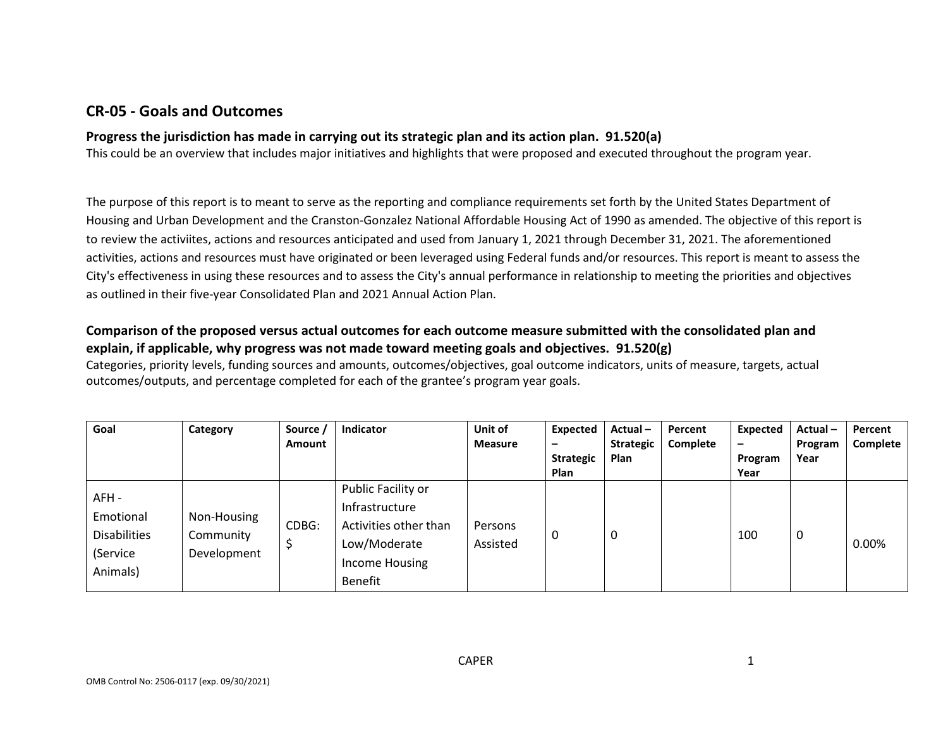## **CR-05 - Goals and Outcomes**

### **Progress the jurisdiction has made in carrying out its strategic plan and its action plan. 91.520(a)**

This could be an overview that includes major initiatives and highlights that were proposed and executed throughout the program year.

The purpose of this report is to meant to serve as the reporting and compliance requirements set forth by the United States Department of Housing and Urban Development and the Cranston-Gonzalez National Affordable Housing Act of 1990 as amended. The objective of this report is to review the activiites, actions and resources anticipated and used from January 1, 2021 through December 31, 2021. The aforementioned activities, actions and resources must have originated or been leveraged using Federal funds and/or resources. This report is meant to assess the City's effectiveness in using these resources and to assess the City's annual performance in relationship to meeting the priorities and objectives as outlined in their five-year Consolidated Plan and 2021 Annual Action Plan.

### **Comparison of the proposed versus actual outcomes for each outcome measure submitted with the consolidated plan and explain, if applicable, why progress was not made toward meeting goals and objectives. 91.520(g)**

Categories, priority levels, funding sources and amounts, outcomes/objectives, goal outcome indicators, units of measure, targets, actual outcomes/outputs, and percentage completed for each of the grantee's program year goals.

| Goal                                                              | Category                                | Source /<br>Amount | Indicator                                                                                                         | Unit of<br><b>Measure</b> | Expected<br>$\overline{\phantom{0}}$<br><b>Strategic</b><br><b>Plan</b> | Actual-<br><b>Strategic</b><br>Plan | Percent<br>Complete | Expected<br>$\overline{\phantom{m}}$<br>Program<br>Year | Actual-<br>Program<br>Year | Percent<br>Complete |
|-------------------------------------------------------------------|-----------------------------------------|--------------------|-------------------------------------------------------------------------------------------------------------------|---------------------------|-------------------------------------------------------------------------|-------------------------------------|---------------------|---------------------------------------------------------|----------------------------|---------------------|
| AFH -<br>Emotional<br><b>Disabilities</b><br>(Service<br>Animals) | Non-Housing<br>Community<br>Development | CDBG:<br>\$        | Public Facility or<br>Infrastructure<br>Activities other than<br>Low/Moderate<br>Income Housing<br><b>Benefit</b> | Persons<br>Assisted       | υ                                                                       | 0                                   |                     | 100                                                     | 0                          | $0.00\%$            |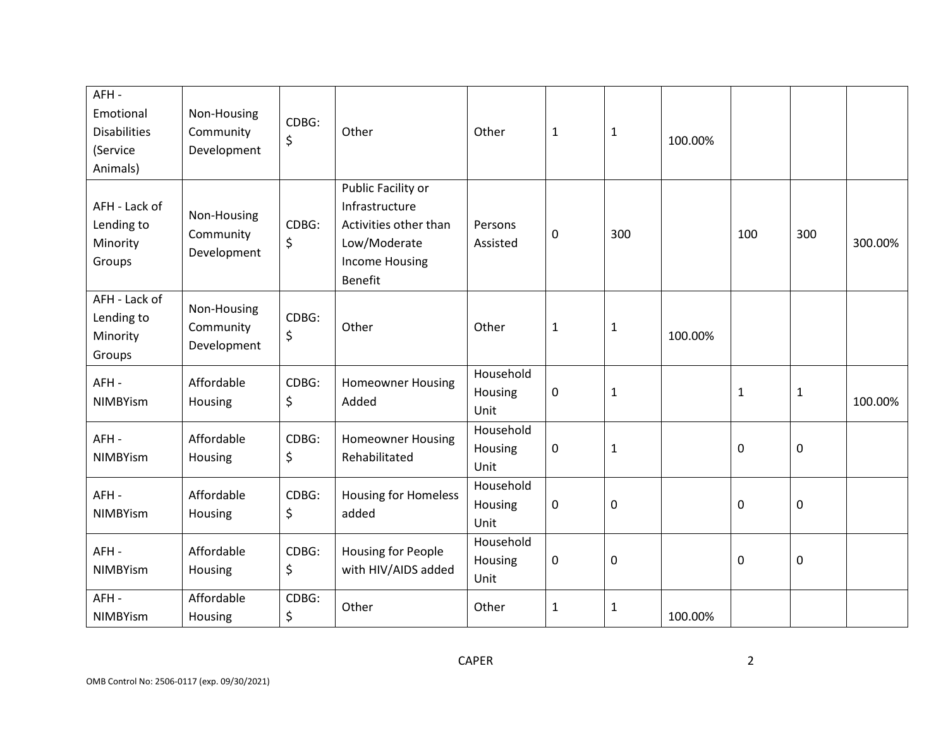| AFH-<br>Emotional<br><b>Disabilities</b><br>(Service<br>Animals) | Non-Housing<br>Community<br>Development | CDBG:<br>\$ | Other                                                                                                                    | Other                        | $\mathbf{1}$ | $\mathbf{1}$ | 100.00% |              |              |         |
|------------------------------------------------------------------|-----------------------------------------|-------------|--------------------------------------------------------------------------------------------------------------------------|------------------------------|--------------|--------------|---------|--------------|--------------|---------|
| AFH - Lack of<br>Lending to<br>Minority<br>Groups                | Non-Housing<br>Community<br>Development | CDBG:<br>\$ | Public Facility or<br>Infrastructure<br>Activities other than<br>Low/Moderate<br><b>Income Housing</b><br><b>Benefit</b> | Persons<br>Assisted          | 0            | 300          |         | 100          | 300          | 300.00% |
| AFH - Lack of<br>Lending to<br>Minority<br>Groups                | Non-Housing<br>Community<br>Development | CDBG:<br>\$ | Other                                                                                                                    | Other                        | $\mathbf{1}$ | 1            | 100.00% |              |              |         |
| AFH-<br><b>NIMBYism</b>                                          | Affordable<br>Housing                   | CDBG:<br>\$ | <b>Homeowner Housing</b><br>Added                                                                                        | Household<br>Housing<br>Unit | 0            | $\mathbf{1}$ |         | $\mathbf{1}$ | $\mathbf{1}$ | 100.00% |
| AFH-<br><b>NIMBYism</b>                                          | Affordable<br>Housing                   | CDBG:<br>\$ | <b>Homeowner Housing</b><br>Rehabilitated                                                                                | Household<br>Housing<br>Unit | 0            | $\mathbf{1}$ |         | $\mathbf 0$  | $\pmb{0}$    |         |
| AFH-<br>NIMBYism                                                 | Affordable<br>Housing                   | CDBG:<br>\$ | <b>Housing for Homeless</b><br>added                                                                                     | Household<br>Housing<br>Unit | 0            | $\mathbf 0$  |         | $\mathbf 0$  | $\pmb{0}$    |         |
| AFH-<br>NIMBYism                                                 | Affordable<br>Housing                   | CDBG:<br>\$ | <b>Housing for People</b><br>with HIV/AIDS added                                                                         | Household<br>Housing<br>Unit | 0            | 0            |         | $\mathbf 0$  | $\pmb{0}$    |         |
| AFH-<br><b>NIMBYism</b>                                          | Affordable<br>Housing                   | CDBG:<br>\$ | Other                                                                                                                    | Other                        | $\mathbf{1}$ | 1            | 100.00% |              |              |         |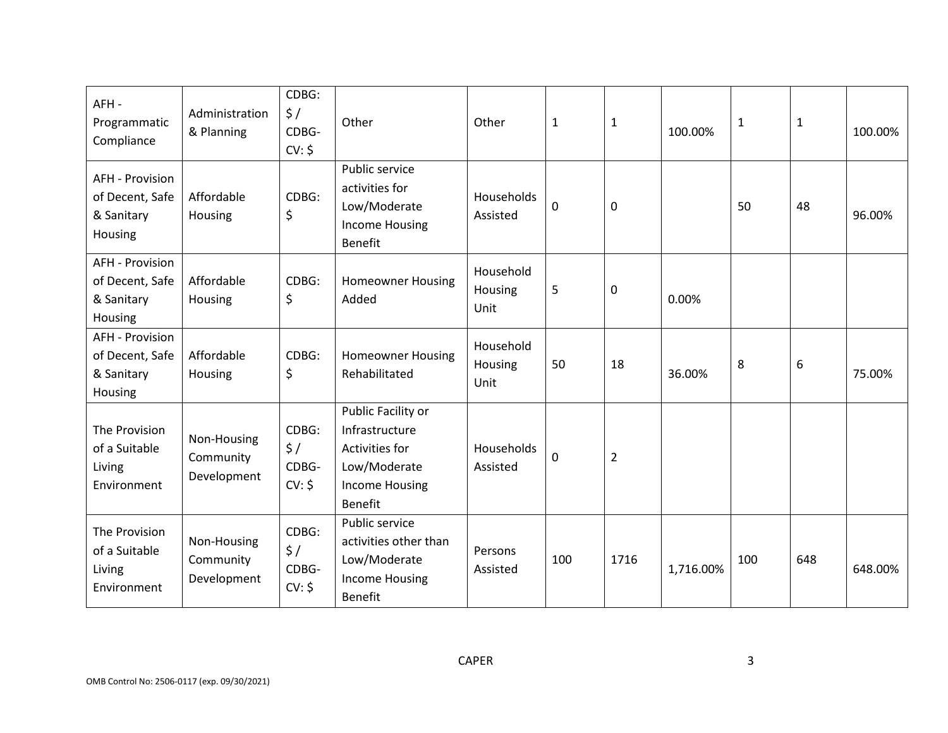| AFH-<br>Programmatic<br>Compliance                                 | Administration<br>& Planning            | CDBG:<br>$\frac{1}{2}$<br>CDBG-<br>CV: \$ | Other                                                                                                             | Other                        | $\mathbf 1$ | 1    | 100.00%   | $\mathbf{1}$ | $\mathbf{1}$ | 100.00% |
|--------------------------------------------------------------------|-----------------------------------------|-------------------------------------------|-------------------------------------------------------------------------------------------------------------------|------------------------------|-------------|------|-----------|--------------|--------------|---------|
| <b>AFH - Provision</b><br>of Decent, Safe<br>& Sanitary<br>Housing | Affordable<br>Housing                   | CDBG:<br>\$                               | Public service<br>activities for<br>Low/Moderate<br><b>Income Housing</b><br><b>Benefit</b>                       | Households<br>Assisted       | $\mathbf 0$ | 0    |           | 50           | 48           | 96.00%  |
| <b>AFH - Provision</b><br>of Decent, Safe<br>& Sanitary<br>Housing | Affordable<br>Housing                   | CDBG:<br>\$                               | <b>Homeowner Housing</b><br>Added                                                                                 | Household<br>Housing<br>Unit | 5           | 0    | 0.00%     |              |              |         |
| <b>AFH - Provision</b><br>of Decent, Safe<br>& Sanitary<br>Housing | Affordable<br>Housing                   | CDBG:<br>\$                               | <b>Homeowner Housing</b><br>Rehabilitated                                                                         | Household<br>Housing<br>Unit | 50          | 18   | 36.00%    | 8            | 6            | 75.00%  |
| The Provision<br>of a Suitable<br>Living<br>Environment            | Non-Housing<br>Community<br>Development | CDBG:<br>\$/<br>CDBG-<br>CV: \$           | Public Facility or<br>Infrastructure<br>Activities for<br>Low/Moderate<br><b>Income Housing</b><br><b>Benefit</b> | Households<br>Assisted       | $\mathbf 0$ | 2    |           |              |              |         |
| The Provision<br>of a Suitable<br>Living<br>Environment            | Non-Housing<br>Community<br>Development | CDBG:<br>$\frac{1}{2}$<br>CDBG-<br>CV: \$ | Public service<br>activities other than<br>Low/Moderate<br><b>Income Housing</b><br><b>Benefit</b>                | Persons<br>Assisted          | 100         | 1716 | 1,716.00% | 100          | 648          | 648.00% |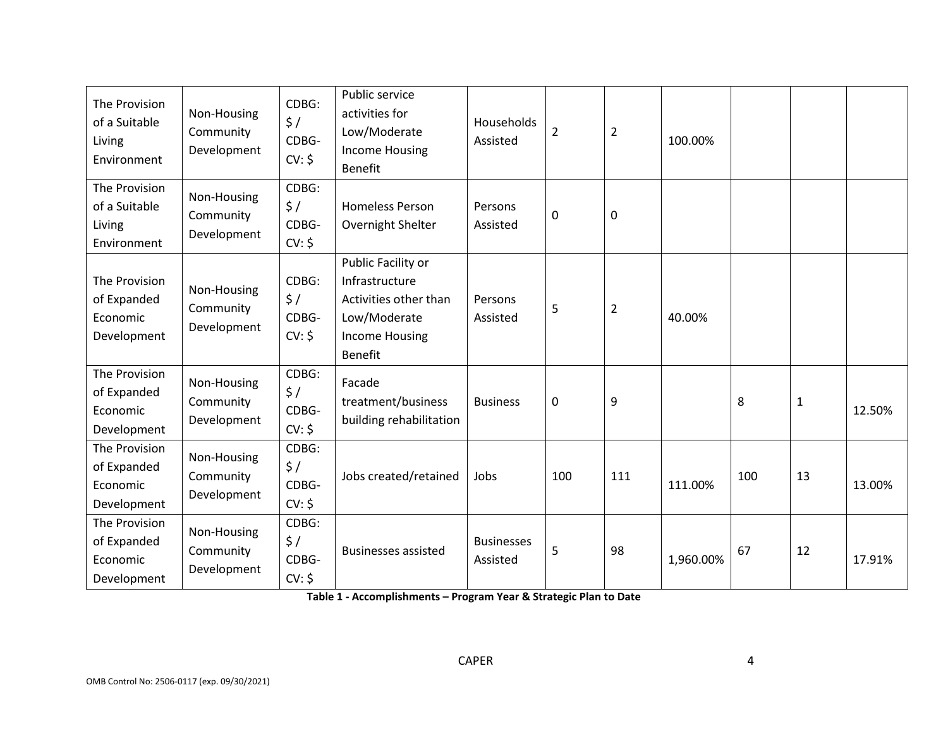| The Provision<br>of a Suitable<br>Living<br>Environment | Non-Housing<br>Community<br>Development | CDBG:<br>$\frac{1}{2}$<br>CDBG-<br>CV: \$ | Public service<br>activities for<br>Low/Moderate<br><b>Income Housing</b><br><b>Benefit</b>                              | Households<br>Assisted        | $\overline{2}$ | $\overline{2}$   | 100.00%   |     |              |        |
|---------------------------------------------------------|-----------------------------------------|-------------------------------------------|--------------------------------------------------------------------------------------------------------------------------|-------------------------------|----------------|------------------|-----------|-----|--------------|--------|
| The Provision<br>of a Suitable<br>Living<br>Environment | Non-Housing<br>Community<br>Development | CDBG:<br>$\frac{1}{2}$<br>CDBG-<br>CV: \$ | <b>Homeless Person</b><br>Overnight Shelter                                                                              | Persons<br>Assisted           | 0              | $\boldsymbol{0}$ |           |     |              |        |
| The Provision<br>of Expanded<br>Economic<br>Development | Non-Housing<br>Community<br>Development | CDBG:<br>\$/<br>CDBG-<br>CV: \$           | Public Facility or<br>Infrastructure<br>Activities other than<br>Low/Moderate<br><b>Income Housing</b><br><b>Benefit</b> | Persons<br>Assisted           | 5              | $\overline{2}$   | 40.00%    |     |              |        |
| The Provision<br>of Expanded<br>Economic<br>Development | Non-Housing<br>Community<br>Development | CDBG:<br>$\frac{1}{2}$<br>CDBG-<br>CV: \$ | Facade<br>treatment/business<br>building rehabilitation                                                                  | <b>Business</b>               | $\mathbf 0$    | 9                |           | 8   | $\mathbf{1}$ | 12.50% |
| The Provision<br>of Expanded<br>Economic<br>Development | Non-Housing<br>Community<br>Development | CDBG:<br>$\frac{1}{2}$<br>CDBG-<br>CV: \$ | Jobs created/retained                                                                                                    | Jobs                          | 100            | 111              | 111.00%   | 100 | 13           | 13.00% |
| The Provision<br>of Expanded<br>Economic<br>Development | Non-Housing<br>Community<br>Development | CDBG:<br>\$/<br>CDBG-<br>CV: \$           | <b>Businesses assisted</b>                                                                                               | <b>Businesses</b><br>Assisted | 5              | 98               | 1,960.00% | 67  | 12           | 17.91% |

**Table 1 - Accomplishments – Program Year & Strategic Plan to Date**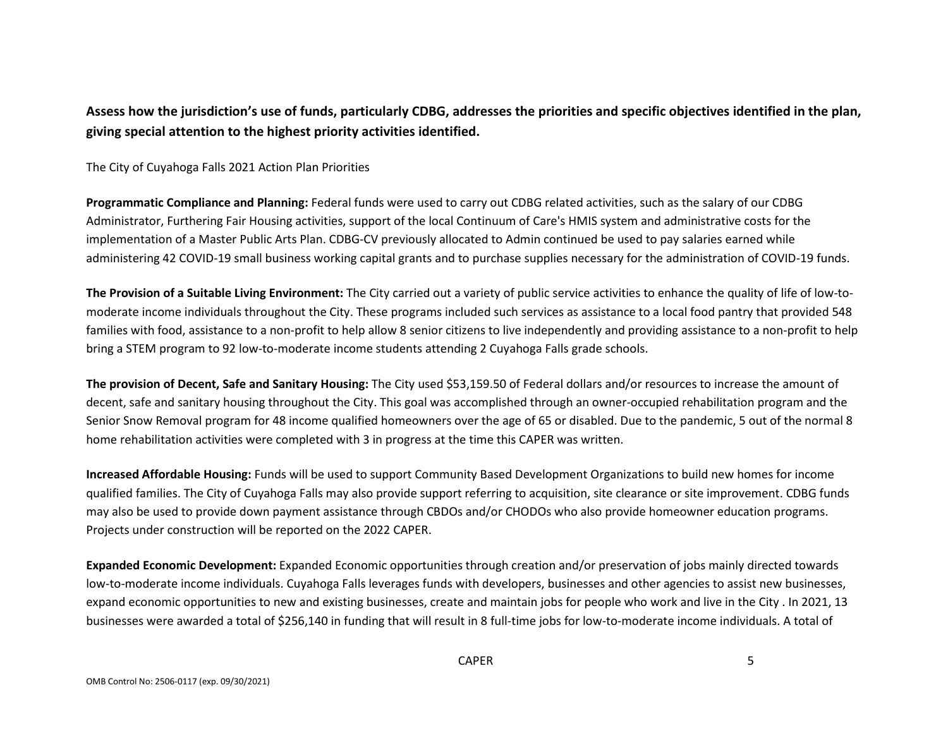## **Assess how the jurisdiction's use of funds, particularly CDBG, addresses the priorities and specific objectives identified in the plan, giving special attention to the highest priority activities identified.**

The City of Cuyahoga Falls 2021 Action Plan Priorities

**Programmatic Compliance and Planning:** Federal funds were used to carry out CDBG related activities, such as the salary of our CDBG Administrator, Furthering Fair Housing activities, support of the local Continuum of Care's HMIS system and administrative costs for the implementation of a Master Public Arts Plan. CDBG-CV previously allocated to Admin continued be used to pay salaries earned while administering 42 COVID-19 small business working capital grants and to purchase supplies necessary for the administration of COVID-19 funds.

**The Provision of a Suitable Living Environment:** The City carried out a variety of public service activities to enhance the quality of life of low-tomoderate income individuals throughout the City. These programs included such services as assistance to a local food pantry that provided 548 families with food, assistance to a non-profit to help allow 8 senior citizens to live independently and providing assistance to a non-profit to help bring a STEM program to 92 low-to-moderate income students attending 2 Cuyahoga Falls grade schools.

**The provision of Decent, Safe and Sanitary Housing:** The City used \$53,159.50 of Federal dollars and/or resources to increase the amount of decent, safe and sanitary housing throughout the City. This goal was accomplished through an owner-occupied rehabilitation program and the Senior Snow Removal program for 48 income qualified homeowners over the age of 65 or disabled. Due to the pandemic, 5 out of the normal 8 home rehabilitation activities were completed with 3 in progress at the time this CAPER was written.

**Increased Affordable Housing:** Funds will be used to support Community Based Development Organizations to build new homes for income qualified families. The City of Cuyahoga Falls may also provide support referring to acquisition, site clearance or site improvement. CDBG funds may also be used to provide down payment assistance through CBDOs and/or CHODOs who also provide homeowner education programs. Projects under construction will be reported on the 2022 CAPER.

**Expanded Economic Development:** Expanded Economic opportunities through creation and/or preservation of jobs mainly directed towards low-to-moderate income individuals. Cuyahoga Falls leverages funds with developers, businesses and other agencies to assist new businesses, expand economic opportunities to new and existing businesses, create and maintain jobs for people who work and live in the City . In 2021, 13 businesses were awarded a total of \$256,140 in funding that will result in 8 full-time jobs for low-to-moderate income individuals. A total of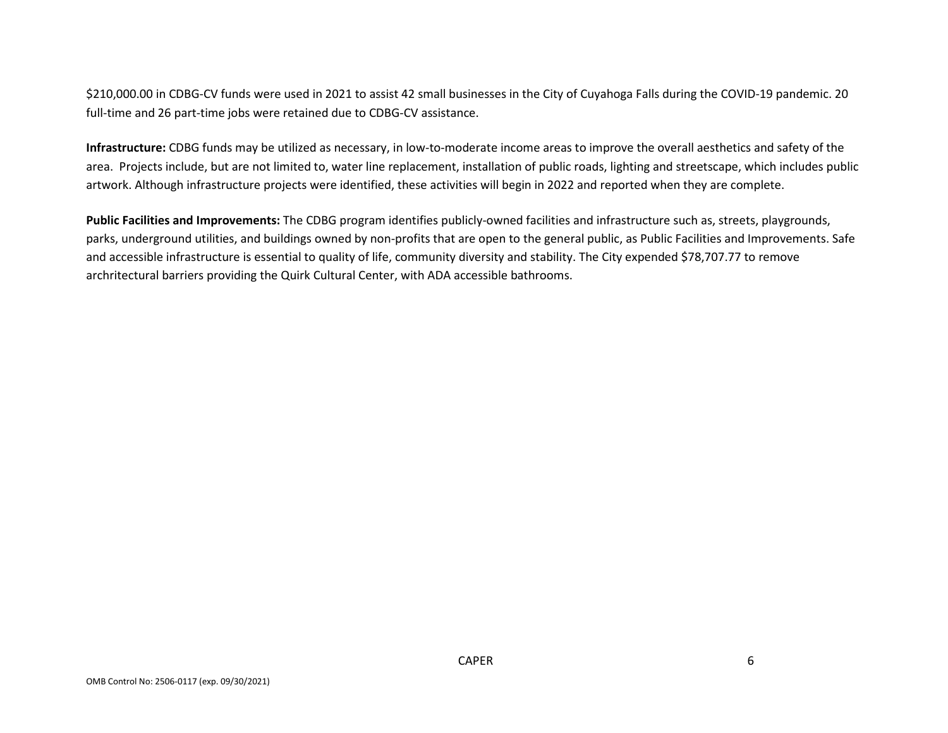\$210,000.00 in CDBG-CV funds were used in 2021 to assist 42 small businesses in the City of Cuyahoga Falls during the COVID-19 pandemic. 20 full-time and 26 part-time jobs were retained due to CDBG-CV assistance.

**Infrastructure:** CDBG funds may be utilized as necessary, in low-to-moderate income areas to improve the overall aesthetics and safety of the area. Projects include, but are not limited to, water line replacement, installation of public roads, lighting and streetscape, which includes public artwork. Although infrastructure projects were identified, these activities will begin in 2022 and reported when they are complete.

**Public Facilities and Improvements:** The CDBG program identifies publicly-owned facilities and infrastructure such as, streets, playgrounds, parks, underground utilities, and buildings owned by non-profits that are open to the general public, as Public Facilities and Improvements. Safe and accessible infrastructure is essential to quality of life, community diversity and stability. The City expended \$78,707.77 to remove archritectural barriers providing the Quirk Cultural Center, with ADA accessible bathrooms.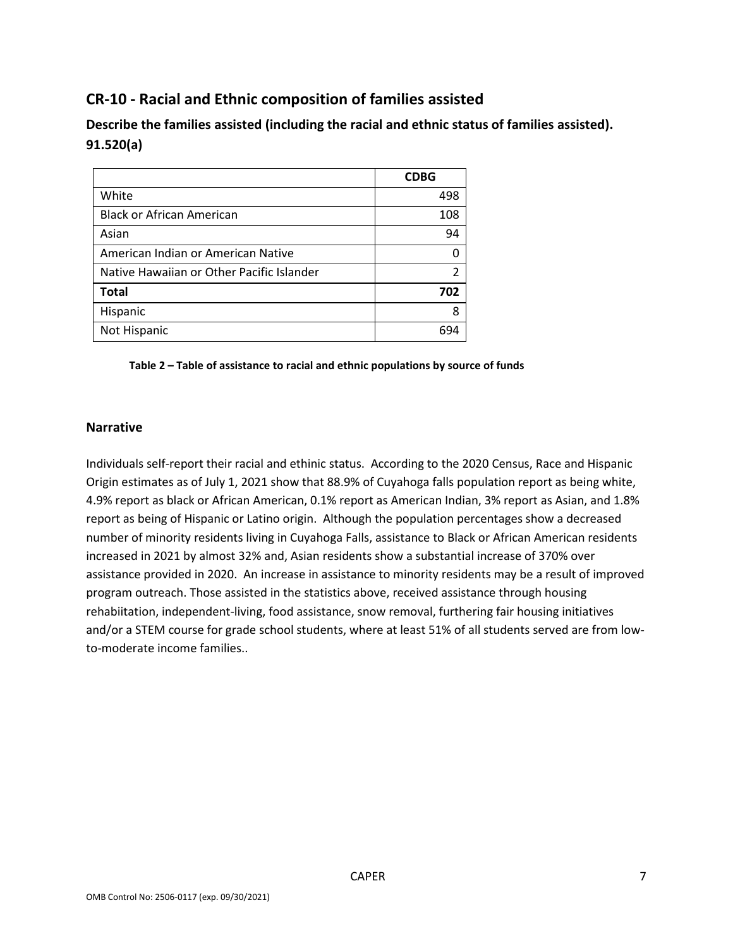# **CR-10 - Racial and Ethnic composition of families assisted**

**Describe the families assisted (including the racial and ethnic status of families assisted). 91.520(a)** 

|                                           | <b>CDBG</b> |
|-------------------------------------------|-------------|
| White                                     | 498         |
| <b>Black or African American</b>          | 108         |
| Asian                                     | 94          |
| American Indian or American Native        |             |
| Native Hawaiian or Other Pacific Islander |             |
| <b>Total</b>                              | 702         |
| Hispanic                                  |             |
| Not Hispanic                              |             |

#### **Table 2 – Table of assistance to racial and ethnic populations by source of funds**

#### **Narrative**

Individuals self-report their racial and ethinic status. According to the 2020 Census, Race and Hispanic Origin estimates as of July 1, 2021 show that 88.9% of Cuyahoga falls population report as being white, 4.9% report as black or African American, 0.1% report as American Indian, 3% report as Asian, and 1.8% report as being of Hispanic or Latino origin. Although the population percentages show a decreased number of minority residents living in Cuyahoga Falls, assistance to Black or African American residents increased in 2021 by almost 32% and, Asian residents show a substantial increase of 370% over assistance provided in 2020. An increase in assistance to minority residents may be a result of improved program outreach. Those assisted in the statistics above, received assistance through housing rehabiitation, independent-living, food assistance, snow removal, furthering fair housing initiatives and/or a STEM course for grade school students, where at least 51% of all students served are from lowto-moderate income families..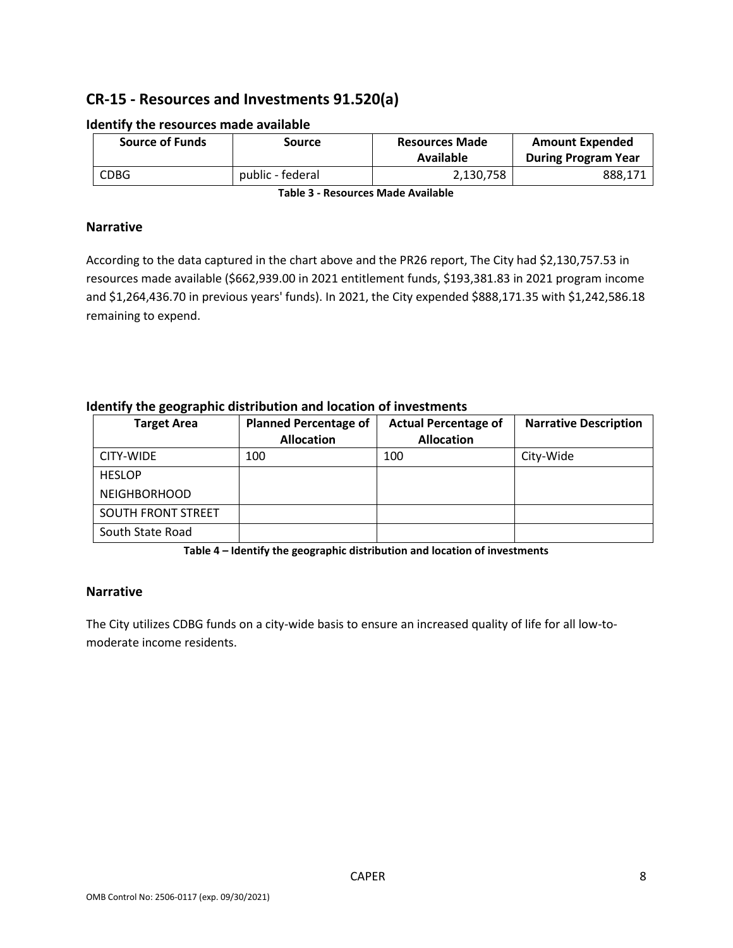# **CR-15 - Resources and Investments 91.520(a)**

| <b>Source of Funds</b> | Source           | <b>Resources Made</b><br>Available | <b>Amount Expended</b><br><b>During Program Year</b> |
|------------------------|------------------|------------------------------------|------------------------------------------------------|
| CDBG                   | public - federal | 2,130,758                          | 888,171                                              |

#### **Identify the resources made available**

**Table 3 - Resources Made Available**

#### **Narrative**

According to the data captured in the chart above and the PR26 report, The City had \$2,130,757.53 in resources made available (\$662,939.00 in 2021 entitlement funds, \$193,381.83 in 2021 program income and \$1,264,436.70 in previous years' funds). In 2021, the City expended \$888,171.35 with \$1,242,586.18 remaining to expend.

| <b>Target Area</b>        | <b>Planned Percentage of</b> | <b>Actual Percentage of</b> | <b>Narrative Description</b> |
|---------------------------|------------------------------|-----------------------------|------------------------------|
|                           | <b>Allocation</b>            | <b>Allocation</b>           |                              |
| CITY-WIDE                 | 100                          | 100                         | City-Wide                    |
| <b>HESLOP</b>             |                              |                             |                              |
| <b>NEIGHBORHOOD</b>       |                              |                             |                              |
| <b>SOUTH FRONT STREET</b> |                              |                             |                              |
| South State Road          |                              |                             |                              |

#### **Identify the geographic distribution and location of investments**

**Table 4 – Identify the geographic distribution and location of investments**

#### **Narrative**

The City utilizes CDBG funds on a city-wide basis to ensure an increased quality of life for all low-tomoderate income residents.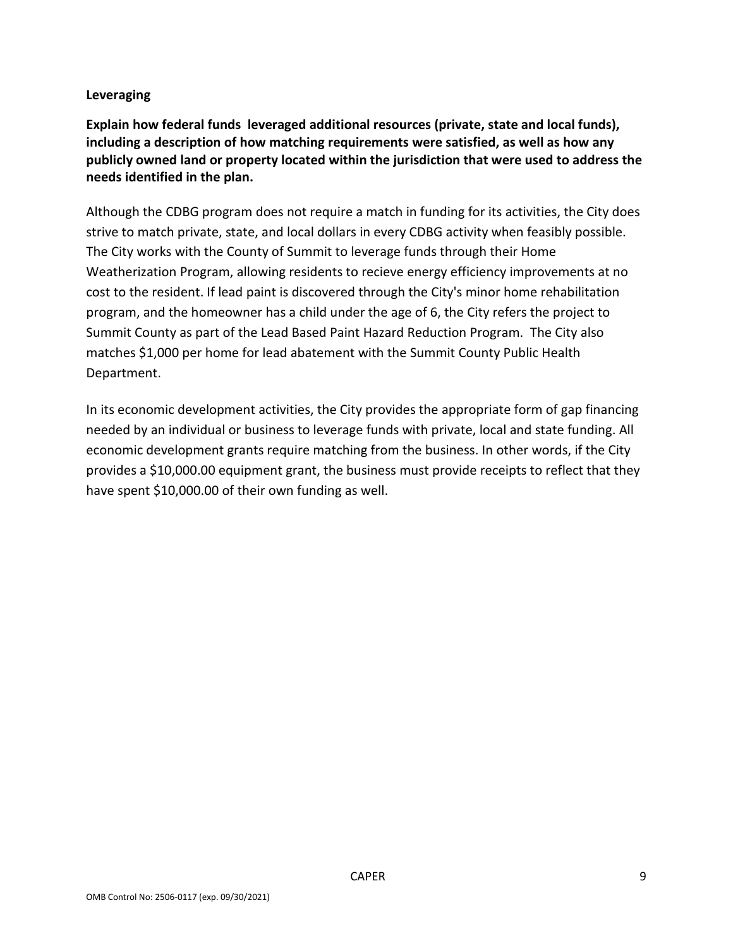### **Leveraging**

**Explain how federal funds leveraged additional resources (private, state and local funds), including a description of how matching requirements were satisfied, as well as how any publicly owned land or property located within the jurisdiction that were used to address the needs identified in the plan.**

Although the CDBG program does not require a match in funding for its activities, the City does strive to match private, state, and local dollars in every CDBG activity when feasibly possible. The City works with the County of Summit to leverage funds through their Home Weatherization Program, allowing residents to recieve energy efficiency improvements at no cost to the resident. If lead paint is discovered through the City's minor home rehabilitation program, and the homeowner has a child under the age of 6, the City refers the project to Summit County as part of the Lead Based Paint Hazard Reduction Program. The City also matches \$1,000 per home for lead abatement with the Summit County Public Health Department.

In its economic development activities, the City provides the appropriate form of gap financing needed by an individual or business to leverage funds with private, local and state funding. All economic development grants require matching from the business. In other words, if the City provides a \$10,000.00 equipment grant, the business must provide receipts to reflect that they have spent \$10,000.00 of their own funding as well.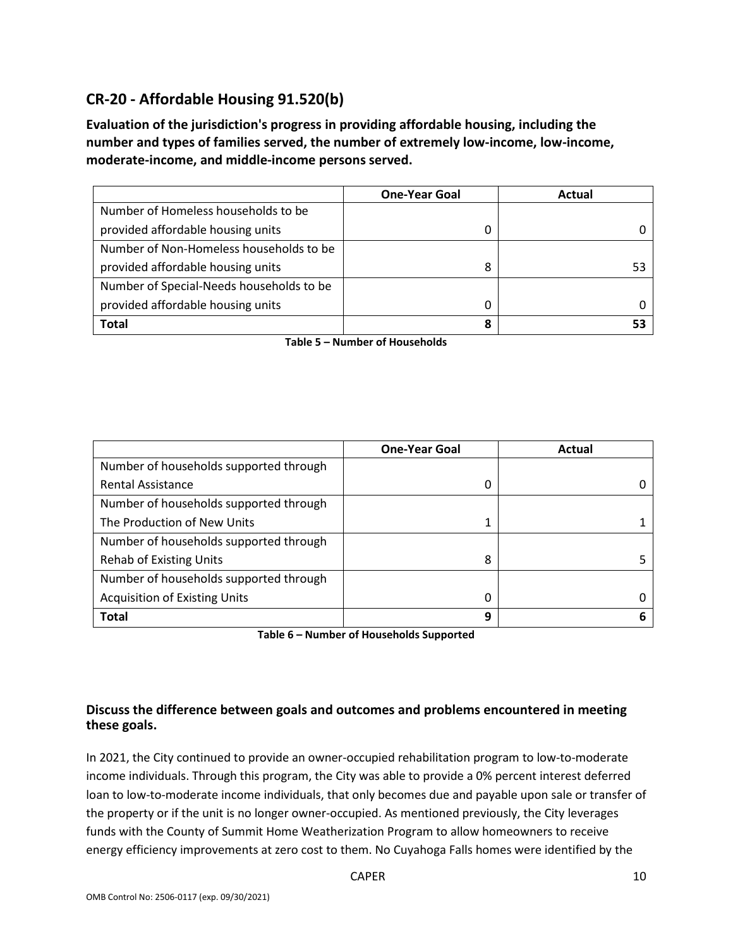# **CR-20 - Affordable Housing 91.520(b)**

**Evaluation of the jurisdiction's progress in providing affordable housing, including the number and types of families served, the number of extremely low-income, low-income, moderate-income, and middle-income persons served.**

|                                          | <b>One-Year Goal</b> | Actual |
|------------------------------------------|----------------------|--------|
| Number of Homeless households to be      |                      |        |
| provided affordable housing units        |                      |        |
| Number of Non-Homeless households to be  |                      |        |
| provided affordable housing units        | 8                    |        |
| Number of Special-Needs households to be |                      |        |
| provided affordable housing units        |                      |        |
| <b>Total</b>                             | 8                    |        |

**Table 5 – Number of Households**

|                                        | <b>One-Year Goal</b> | Actual |
|----------------------------------------|----------------------|--------|
| Number of households supported through |                      |        |
| <b>Rental Assistance</b>               | 0                    |        |
| Number of households supported through |                      |        |
| The Production of New Units            |                      |        |
| Number of households supported through |                      |        |
| <b>Rehab of Existing Units</b>         | 8                    |        |
| Number of households supported through |                      |        |
| <b>Acquisition of Existing Units</b>   | 0                    |        |
| <b>Total</b>                           | 9                    |        |

**Table 6 – Number of Households Supported**

### **Discuss the difference between goals and outcomes and problems encountered in meeting these goals.**

In 2021, the City continued to provide an owner-occupied rehabilitation program to low-to-moderate income individuals. Through this program, the City was able to provide a 0% percent interest deferred loan to low-to-moderate income individuals, that only becomes due and payable upon sale or transfer of the property or if the unit is no longer owner-occupied. As mentioned previously, the City leverages funds with the County of Summit Home Weatherization Program to allow homeowners to receive energy efficiency improvements at zero cost to them. No Cuyahoga Falls homes were identified by the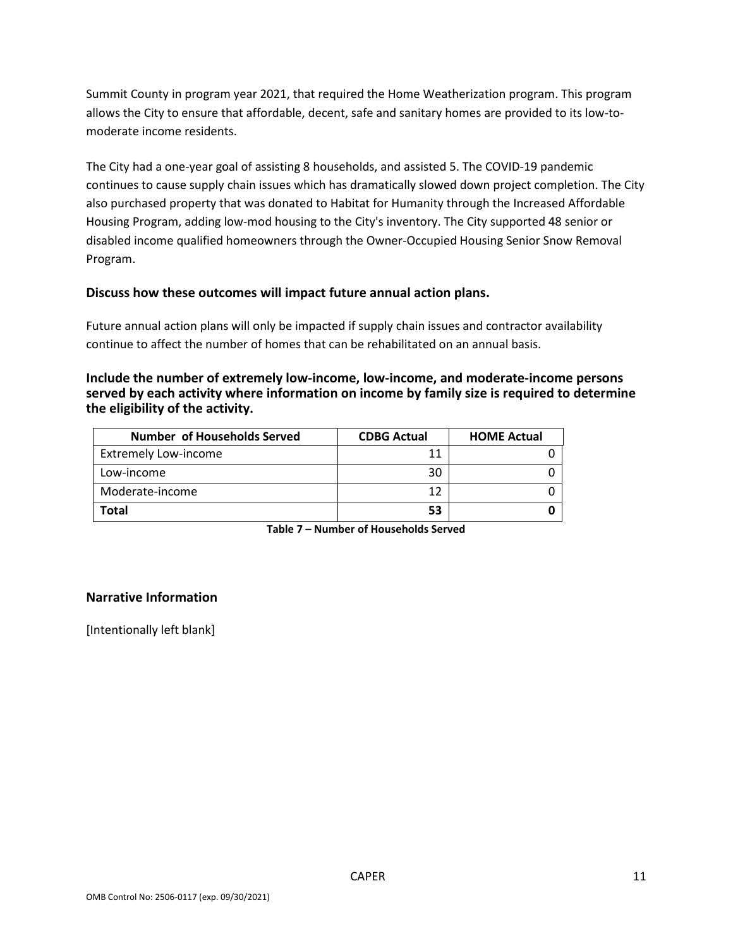Summit County in program year 2021, that required the Home Weatherization program. This program allows the City to ensure that affordable, decent, safe and sanitary homes are provided to its low-tomoderate income residents.

The City had a one-year goal of assisting 8 households, and assisted 5. The COVID-19 pandemic continues to cause supply chain issues which has dramatically slowed down project completion. The City also purchased property that was donated to Habitat for Humanity through the Increased Affordable Housing Program, adding low-mod housing to the City's inventory. The City supported 48 senior or disabled income qualified homeowners through the Owner-Occupied Housing Senior Snow Removal Program.

### **Discuss how these outcomes will impact future annual action plans.**

Future annual action plans will only be impacted if supply chain issues and contractor availability continue to affect the number of homes that can be rehabilitated on an annual basis.

**Include the number of extremely low-income, low-income, and moderate-income persons served by each activity where information on income by family size is required to determine the eligibility of the activity.**

| <b>Number of Households Served</b> | <b>CDBG Actual</b> | <b>HOME Actual</b> |
|------------------------------------|--------------------|--------------------|
| <b>Extremely Low-income</b>        | 11                 |                    |
| Low-income                         | 30                 |                    |
| Moderate-income                    | 12                 |                    |
| <b>Total</b>                       | 53                 |                    |

**Table 7 – Number of Households Served**

#### **Narrative Information**

[Intentionally left blank]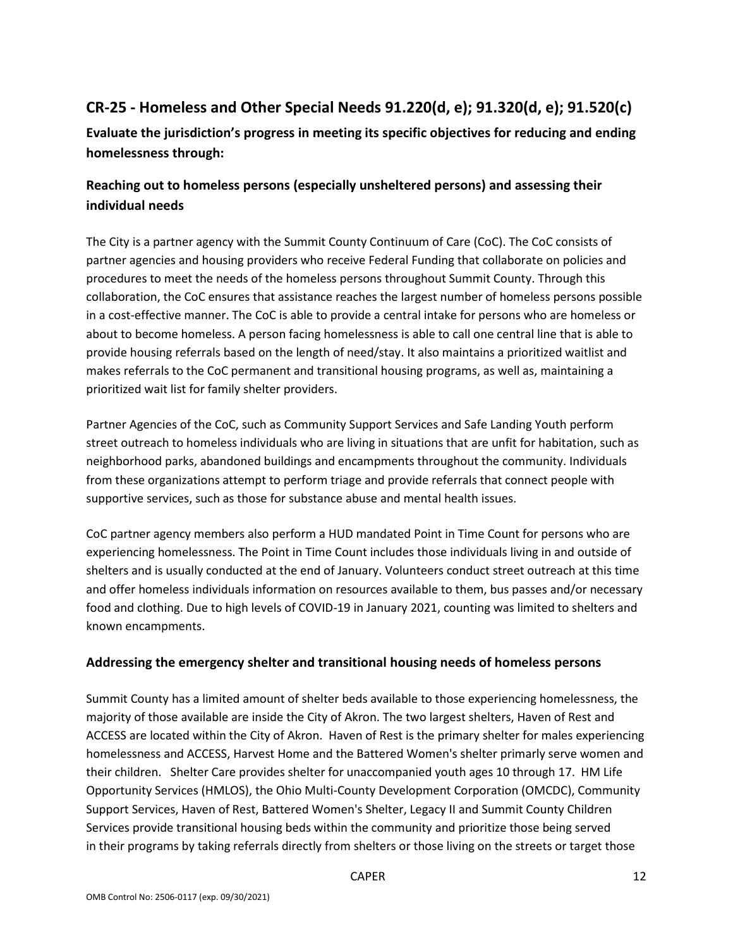# **CR-25 - Homeless and Other Special Needs 91.220(d, e); 91.320(d, e); 91.520(c)**

**Evaluate the jurisdiction's progress in meeting its specific objectives for reducing and ending homelessness through:**

## **Reaching out to homeless persons (especially unsheltered persons) and assessing their individual needs**

The City is a partner agency with the Summit County Continuum of Care (CoC). The CoC consists of partner agencies and housing providers who receive Federal Funding that collaborate on policies and procedures to meet the needs of the homeless persons throughout Summit County. Through this collaboration, the CoC ensures that assistance reaches the largest number of homeless persons possible in a cost-effective manner. The CoC is able to provide a central intake for persons who are homeless or about to become homeless. A person facing homelessness is able to call one central line that is able to provide housing referrals based on the length of need/stay. It also maintains a prioritized waitlist and makes referrals to the CoC permanent and transitional housing programs, as well as, maintaining a prioritized wait list for family shelter providers.

Partner Agencies of the CoC, such as Community Support Services and Safe Landing Youth perform street outreach to homeless individuals who are living in situations that are unfit for habitation, such as neighborhood parks, abandoned buildings and encampments throughout the community. Individuals from these organizations attempt to perform triage and provide referrals that connect people with supportive services, such as those for substance abuse and mental health issues.

CoC partner agency members also perform a HUD mandated Point in Time Count for persons who are experiencing homelessness. The Point in Time Count includes those individuals living in and outside of shelters and is usually conducted at the end of January. Volunteers conduct street outreach at this time and offer homeless individuals information on resources available to them, bus passes and/or necessary food and clothing. Due to high levels of COVID-19 in January 2021, counting was limited to shelters and known encampments.

### **Addressing the emergency shelter and transitional housing needs of homeless persons**

Summit County has a limited amount of shelter beds available to those experiencing homelessness, the majority of those available are inside the City of Akron. The two largest shelters, Haven of Rest and ACCESS are located within the City of Akron. Haven of Rest is the primary shelter for males experiencing homelessness and ACCESS, Harvest Home and the Battered Women's shelter primarly serve women and their children. Shelter Care provides shelter for unaccompanied youth ages 10 through 17. HM Life Opportunity Services (HMLOS), the Ohio Multi-County Development Corporation (OMCDC), Community Support Services, Haven of Rest, Battered Women's Shelter, Legacy II and Summit County Children Services provide transitional housing beds within the community and prioritize those being served in their programs by taking referrals directly from shelters or those living on the streets or target those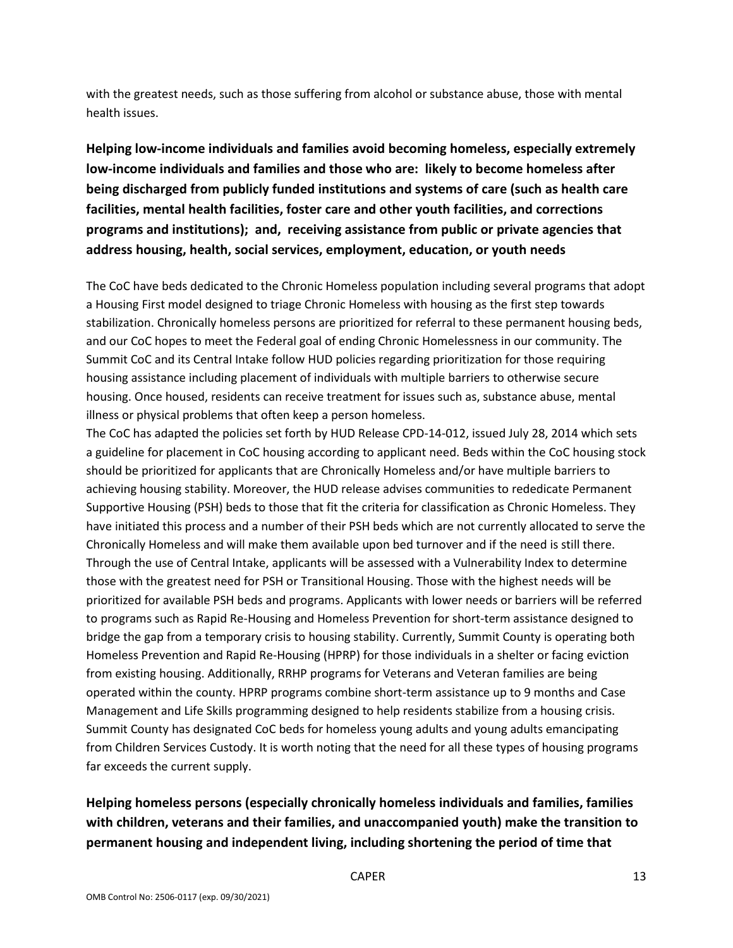with the greatest needs, such as those suffering from alcohol or substance abuse, those with mental health issues.

**Helping low-income individuals and families avoid becoming homeless, especially extremely low-income individuals and families and those who are: likely to become homeless after being discharged from publicly funded institutions and systems of care (such as health care facilities, mental health facilities, foster care and other youth facilities, and corrections programs and institutions); and, receiving assistance from public or private agencies that address housing, health, social services, employment, education, or youth needs**

The CoC have beds dedicated to the Chronic Homeless population including several programs that adopt a Housing First model designed to triage Chronic Homeless with housing as the first step towards stabilization. Chronically homeless persons are prioritized for referral to these permanent housing beds, and our CoC hopes to meet the Federal goal of ending Chronic Homelessness in our community. The Summit CoC and its Central Intake follow HUD policies regarding prioritization for those requiring housing assistance including placement of individuals with multiple barriers to otherwise secure housing. Once housed, residents can receive treatment for issues such as, substance abuse, mental illness or physical problems that often keep a person homeless.

The CoC has adapted the policies set forth by HUD Release CPD-14-012, issued July 28, 2014 which sets a guideline for placement in CoC housing according to applicant need. Beds within the CoC housing stock should be prioritized for applicants that are Chronically Homeless and/or have multiple barriers to achieving housing stability. Moreover, the HUD release advises communities to rededicate Permanent Supportive Housing (PSH) beds to those that fit the criteria for classification as Chronic Homeless. They have initiated this process and a number of their PSH beds which are not currently allocated to serve the Chronically Homeless and will make them available upon bed turnover and if the need is still there. Through the use of Central Intake, applicants will be assessed with a Vulnerability Index to determine those with the greatest need for PSH or Transitional Housing. Those with the highest needs will be prioritized for available PSH beds and programs. Applicants with lower needs or barriers will be referred to programs such as Rapid Re-Housing and Homeless Prevention for short-term assistance designed to bridge the gap from a temporary crisis to housing stability. Currently, Summit County is operating both Homeless Prevention and Rapid Re-Housing (HPRP) for those individuals in a shelter or facing eviction from existing housing. Additionally, RRHP programs for Veterans and Veteran families are being operated within the county. HPRP programs combine short-term assistance up to 9 months and Case Management and Life Skills programming designed to help residents stabilize from a housing crisis. Summit County has designated CoC beds for homeless young adults and young adults emancipating from Children Services Custody. It is worth noting that the need for all these types of housing programs far exceeds the current supply.

# **Helping homeless persons (especially chronically homeless individuals and families, families with children, veterans and their families, and unaccompanied youth) make the transition to permanent housing and independent living, including shortening the period of time that**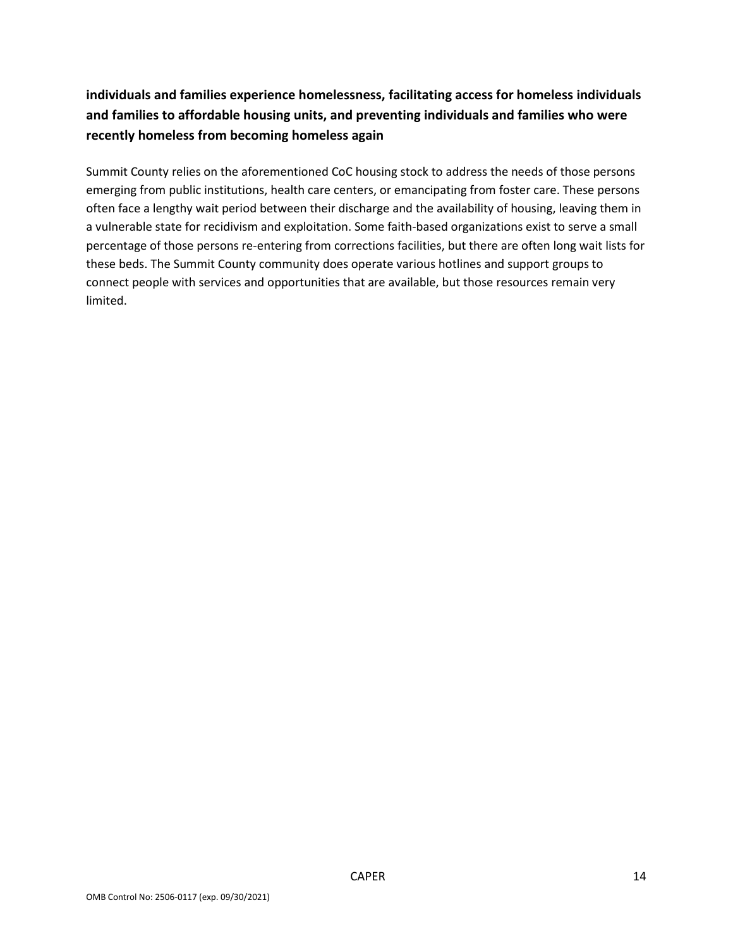# **individuals and families experience homelessness, facilitating access for homeless individuals and families to affordable housing units, and preventing individuals and families who were recently homeless from becoming homeless again**

Summit County relies on the aforementioned CoC housing stock to address the needs of those persons emerging from public institutions, health care centers, or emancipating from foster care. These persons often face a lengthy wait period between their discharge and the availability of housing, leaving them in a vulnerable state for recidivism and exploitation. Some faith-based organizations exist to serve a small percentage of those persons re-entering from corrections facilities, but there are often long wait lists for these beds. The Summit County community does operate various hotlines and support groups to connect people with services and opportunities that are available, but those resources remain very limited.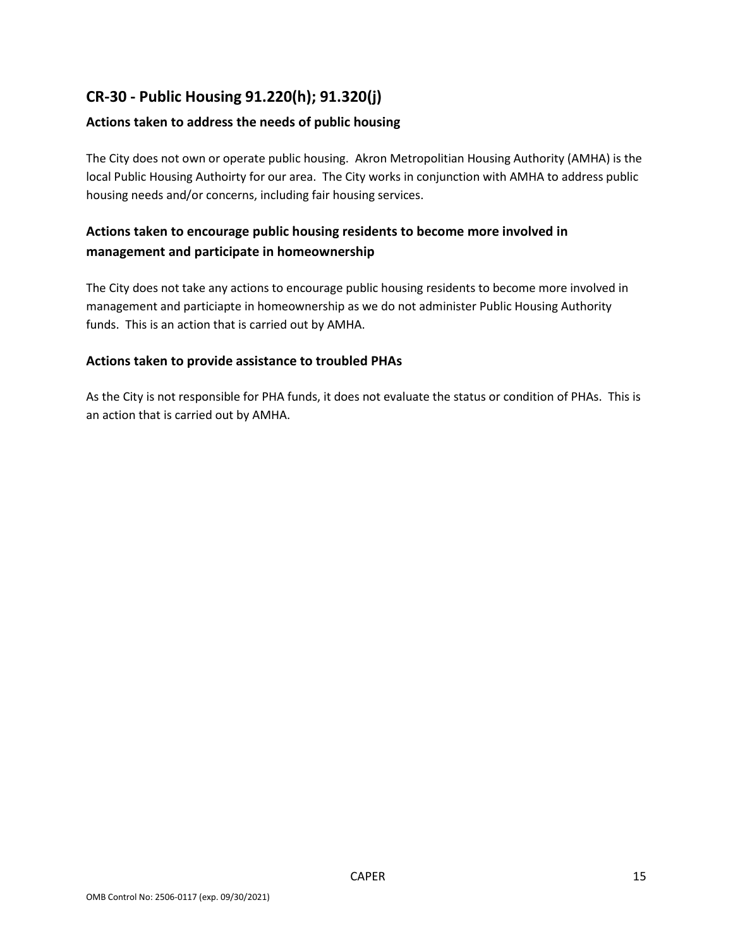# **CR-30 - Public Housing 91.220(h); 91.320(j)**

### **Actions taken to address the needs of public housing**

The City does not own or operate public housing. Akron Metropolitian Housing Authority (AMHA) is the local Public Housing Authoirty for our area. The City works in conjunction with AMHA to address public housing needs and/or concerns, including fair housing services.

### **Actions taken to encourage public housing residents to become more involved in management and participate in homeownership**

The City does not take any actions to encourage public housing residents to become more involved in management and particiapte in homeownership as we do not administer Public Housing Authority funds. This is an action that is carried out by AMHA.

### **Actions taken to provide assistance to troubled PHAs**

As the City is not responsible for PHA funds, it does not evaluate the status or condition of PHAs. This is an action that is carried out by AMHA.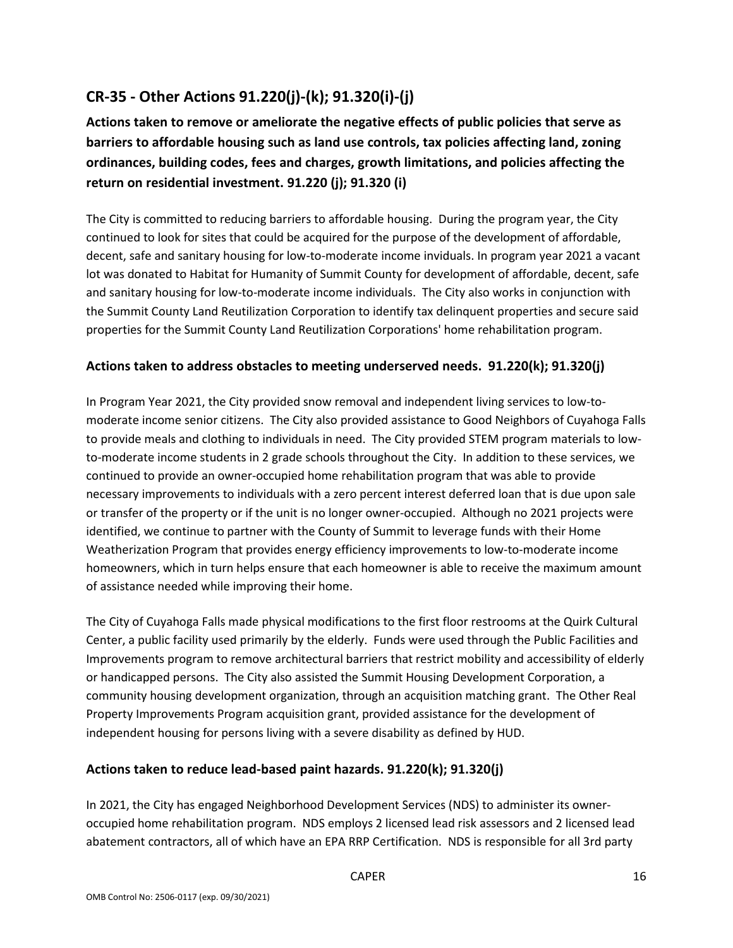# **CR-35 - Other Actions 91.220(j)-(k); 91.320(i)-(j)**

**Actions taken to remove or ameliorate the negative effects of public policies that serve as barriers to affordable housing such as land use controls, tax policies affecting land, zoning ordinances, building codes, fees and charges, growth limitations, and policies affecting the return on residential investment. 91.220 (j); 91.320 (i)**

The City is committed to reducing barriers to affordable housing. During the program year, the City continued to look for sites that could be acquired for the purpose of the development of affordable, decent, safe and sanitary housing for low-to-moderate income inviduals. In program year 2021 a vacant lot was donated to Habitat for Humanity of Summit County for development of affordable, decent, safe and sanitary housing for low-to-moderate income individuals. The City also works in conjunction with the Summit County Land Reutilization Corporation to identify tax delinquent properties and secure said properties for the Summit County Land Reutilization Corporations' home rehabilitation program.

### **Actions taken to address obstacles to meeting underserved needs. 91.220(k); 91.320(j)**

In Program Year 2021, the City provided snow removal and independent living services to low-tomoderate income senior citizens. The City also provided assistance to Good Neighbors of Cuyahoga Falls to provide meals and clothing to individuals in need. The City provided STEM program materials to lowto-moderate income students in 2 grade schools throughout the City. In addition to these services, we continued to provide an owner-occupied home rehabilitation program that was able to provide necessary improvements to individuals with a zero percent interest deferred loan that is due upon sale or transfer of the property or if the unit is no longer owner-occupied. Although no 2021 projects were identified, we continue to partner with the County of Summit to leverage funds with their Home Weatherization Program that provides energy efficiency improvements to low-to-moderate income homeowners, which in turn helps ensure that each homeowner is able to receive the maximum amount of assistance needed while improving their home.

The City of Cuyahoga Falls made physical modifications to the first floor restrooms at the Quirk Cultural Center, a public facility used primarily by the elderly. Funds were used through the Public Facilities and Improvements program to remove architectural barriers that restrict mobility and accessibility of elderly or handicapped persons. The City also assisted the Summit Housing Development Corporation, a community housing development organization, through an acquisition matching grant. The Other Real Property Improvements Program acquisition grant, provided assistance for the development of independent housing for persons living with a severe disability as defined by HUD.

### **Actions taken to reduce lead-based paint hazards. 91.220(k); 91.320(j)**

In 2021, the City has engaged Neighborhood Development Services (NDS) to administer its owneroccupied home rehabilitation program. NDS employs 2 licensed lead risk assessors and 2 licensed lead abatement contractors, all of which have an EPA RRP Certification. NDS is responsible for all 3rd party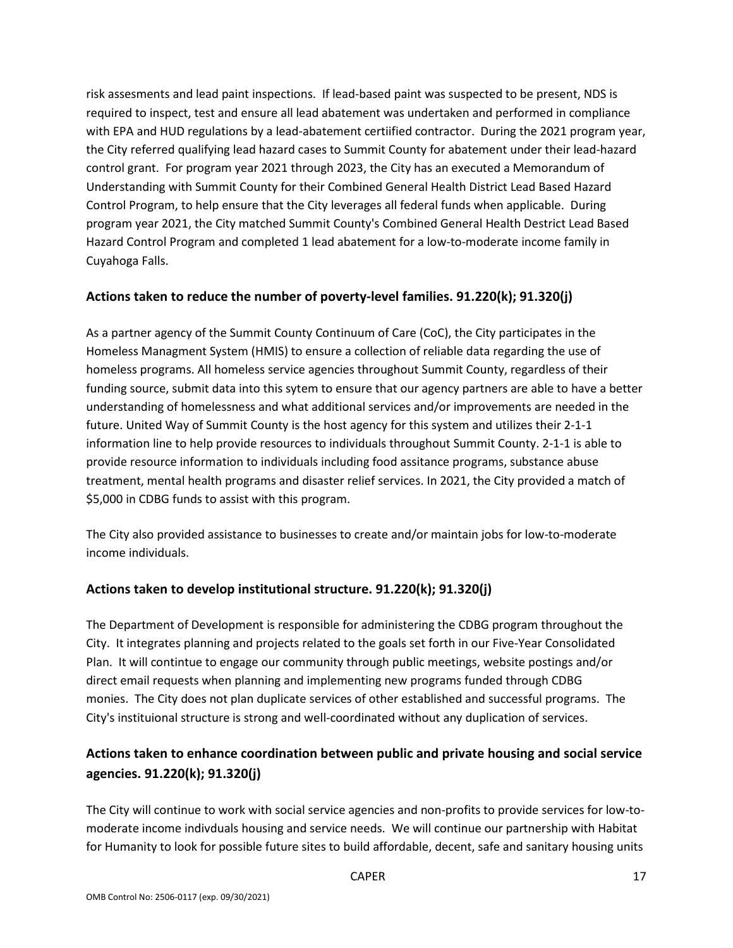risk assesments and lead paint inspections. If lead-based paint was suspected to be present, NDS is required to inspect, test and ensure all lead abatement was undertaken and performed in compliance with EPA and HUD regulations by a lead-abatement certiified contractor. During the 2021 program year, the City referred qualifying lead hazard cases to Summit County for abatement under their lead-hazard control grant. For program year 2021 through 2023, the City has an executed a Memorandum of Understanding with Summit County for their Combined General Health District Lead Based Hazard Control Program, to help ensure that the City leverages all federal funds when applicable. During program year 2021, the City matched Summit County's Combined General Health Destrict Lead Based Hazard Control Program and completed 1 lead abatement for a low-to-moderate income family in Cuyahoga Falls.

### **Actions taken to reduce the number of poverty-level families. 91.220(k); 91.320(j)**

As a partner agency of the Summit County Continuum of Care (CoC), the City participates in the Homeless Managment System (HMIS) to ensure a collection of reliable data regarding the use of homeless programs. All homeless service agencies throughout Summit County, regardless of their funding source, submit data into this sytem to ensure that our agency partners are able to have a better understanding of homelessness and what additional services and/or improvements are needed in the future. United Way of Summit County is the host agency for this system and utilizes their 2-1-1 information line to help provide resources to individuals throughout Summit County. 2-1-1 is able to provide resource information to individuals including food assitance programs, substance abuse treatment, mental health programs and disaster relief services. In 2021, the City provided a match of \$5,000 in CDBG funds to assist with this program.

The City also provided assistance to businesses to create and/or maintain jobs for low-to-moderate income individuals.

### **Actions taken to develop institutional structure. 91.220(k); 91.320(j)**

The Department of Development is responsible for administering the CDBG program throughout the City. It integrates planning and projects related to the goals set forth in our Five-Year Consolidated Plan. It will contintue to engage our community through public meetings, website postings and/or direct email requests when planning and implementing new programs funded through CDBG monies. The City does not plan duplicate services of other established and successful programs. The City's instituional structure is strong and well-coordinated without any duplication of services.

## **Actions taken to enhance coordination between public and private housing and social service agencies. 91.220(k); 91.320(j)**

The City will continue to work with social service agencies and non-profits to provide services for low-tomoderate income indivduals housing and service needs. We will continue our partnership with Habitat for Humanity to look for possible future sites to build affordable, decent, safe and sanitary housing units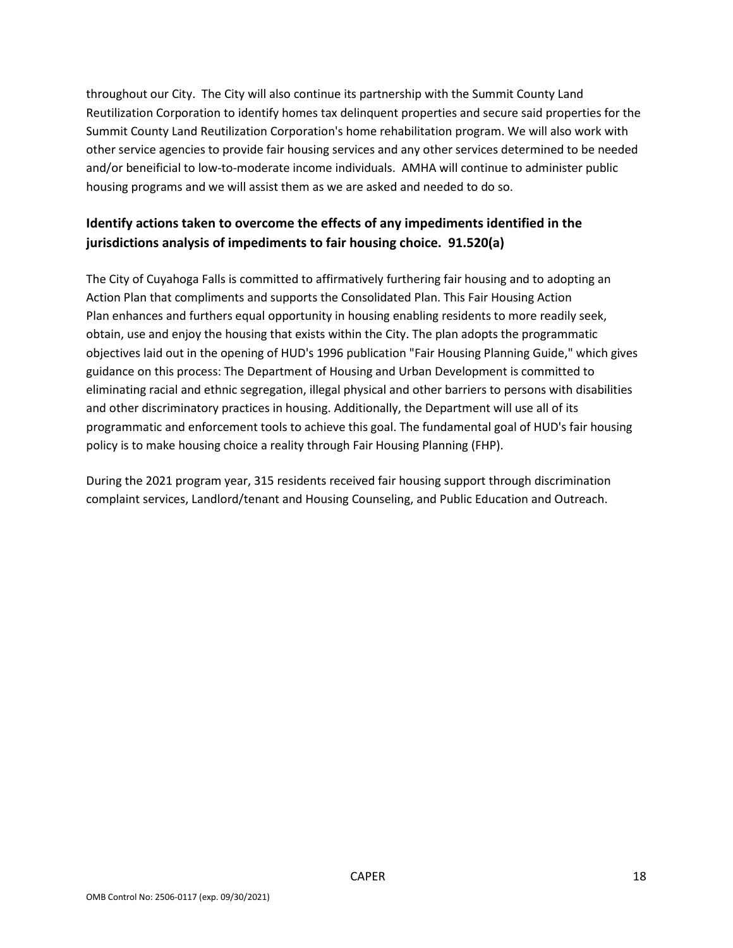throughout our City. The City will also continue its partnership with the Summit County Land Reutilization Corporation to identify homes tax delinquent properties and secure said properties for the Summit County Land Reutilization Corporation's home rehabilitation program. We will also work with other service agencies to provide fair housing services and any other services determined to be needed and/or beneificial to low-to-moderate income individuals. AMHA will continue to administer public housing programs and we will assist them as we are asked and needed to do so.

## **Identify actions taken to overcome the effects of any impediments identified in the jurisdictions analysis of impediments to fair housing choice. 91.520(a)**

The City of Cuyahoga Falls is committed to affirmatively furthering fair housing and to adopting an Action Plan that compliments and supports the Consolidated Plan. This Fair Housing Action Plan enhances and furthers equal opportunity in housing enabling residents to more readily seek, obtain, use and enjoy the housing that exists within the City. The plan adopts the programmatic objectives laid out in the opening of HUD's 1996 publication "Fair Housing Planning Guide," which gives guidance on this process: The Department of Housing and Urban Development is committed to eliminating racial and ethnic segregation, illegal physical and other barriers to persons with disabilities and other discriminatory practices in housing. Additionally, the Department will use all of its programmatic and enforcement tools to achieve this goal. The fundamental goal of HUD's fair housing policy is to make housing choice a reality through Fair Housing Planning (FHP).

During the 2021 program year, 315 residents received fair housing support through discrimination complaint services, Landlord/tenant and Housing Counseling, and Public Education and Outreach.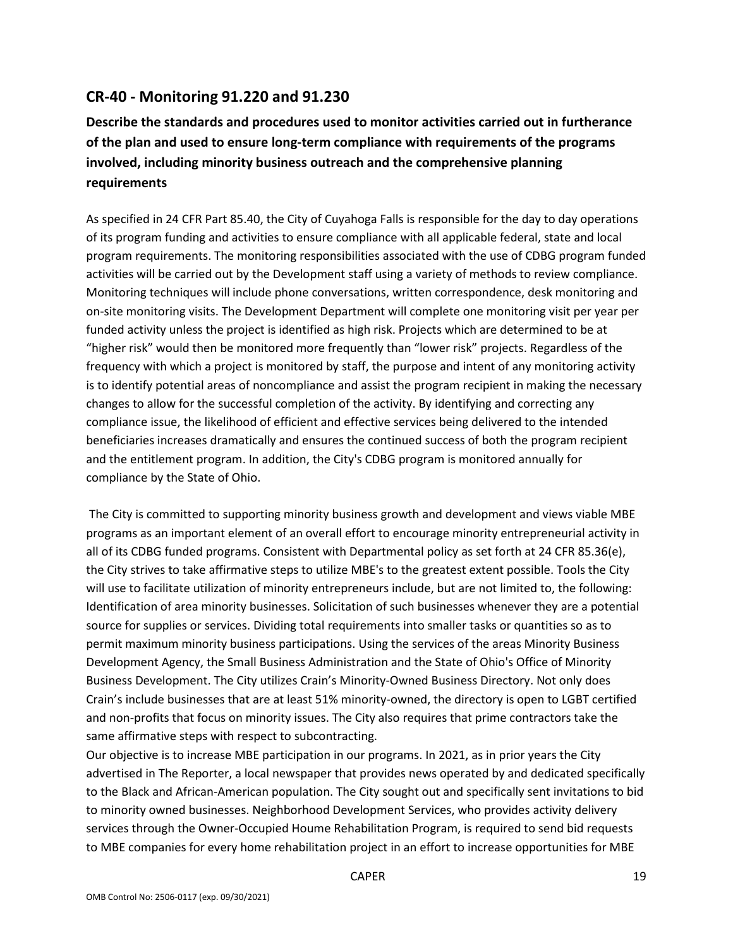### **CR-40 - Monitoring 91.220 and 91.230**

**Describe the standards and procedures used to monitor activities carried out in furtherance of the plan and used to ensure long-term compliance with requirements of the programs involved, including minority business outreach and the comprehensive planning requirements**

As specified in 24 CFR Part 85.40, the City of Cuyahoga Falls is responsible for the day to day operations of its program funding and activities to ensure compliance with all applicable federal, state and local program requirements. The monitoring responsibilities associated with the use of CDBG program funded activities will be carried out by the Development staff using a variety of methods to review compliance. Monitoring techniques will include phone conversations, written correspondence, desk monitoring and on-site monitoring visits. The Development Department will complete one monitoring visit per year per funded activity unless the project is identified as high risk. Projects which are determined to be at "higher risk" would then be monitored more frequently than "lower risk" projects. Regardless of the frequency with which a project is monitored by staff, the purpose and intent of any monitoring activity is to identify potential areas of noncompliance and assist the program recipient in making the necessary changes to allow for the successful completion of the activity. By identifying and correcting any compliance issue, the likelihood of efficient and effective services being delivered to the intended beneficiaries increases dramatically and ensures the continued success of both the program recipient and the entitlement program. In addition, the City's CDBG program is monitored annually for compliance by the State of Ohio.

The City is committed to supporting minority business growth and development and views viable MBE programs as an important element of an overall effort to encourage minority entrepreneurial activity in all of its CDBG funded programs. Consistent with Departmental policy as set forth at 24 CFR 85.36(e), the City strives to take affirmative steps to utilize MBE's to the greatest extent possible. Tools the City will use to facilitate utilization of minority entrepreneurs include, but are not limited to, the following: Identification of area minority businesses. Solicitation of such businesses whenever they are a potential source for supplies or services. Dividing total requirements into smaller tasks or quantities so as to permit maximum minority business participations. Using the services of the areas Minority Business Development Agency, the Small Business Administration and the State of Ohio's Office of Minority Business Development. The City utilizes Crain's Minority-Owned Business Directory. Not only does Crain's include businesses that are at least 51% minority-owned, the directory is open to LGBT certified and non-profits that focus on minority issues. The City also requires that prime contractors take the same affirmative steps with respect to subcontracting.

Our objective is to increase MBE participation in our programs. In 2021, as in prior years the City advertised in The Reporter, a local newspaper that provides news operated by and dedicated specifically to the Black and African-American population. The City sought out and specifically sent invitations to bid to minority owned businesses. Neighborhood Development Services, who provides activity delivery services through the Owner-Occupied Houme Rehabilitation Program, is required to send bid requests to MBE companies for every home rehabilitation project in an effort to increase opportunities for MBE